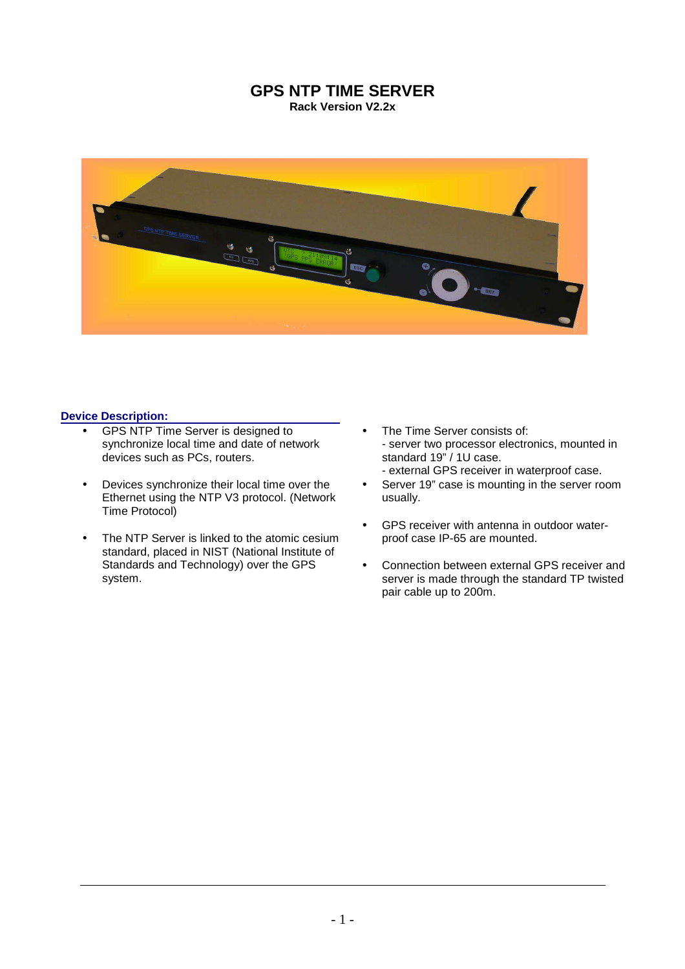## **GPS NTP TIME SERVER Rack Version V2.2x**



## **Device Description:**

- GPS NTP Time Server is designed to synchronize local time and date of network devices such as PCs, routers.
- Devices synchronize their local time over the Ethernet using the NTP V3 protocol. (Network Time Protocol)
- The NTP Server is linked to the atomic cesium standard, placed in NIST (National Institute of Standards and Technology) over the GPS system.
- The Time Server consists of: - server two processor electronics, mounted in standard 19" / 1U case. - external GPS receiver in waterproof case.
- Server 19" case is mounting in the server room usually.
- GPS receiver with antenna in outdoor waterproof case IP-65 are mounted.
- Connection between external GPS receiver and server is made through the standard TP twisted pair cable up to 200m.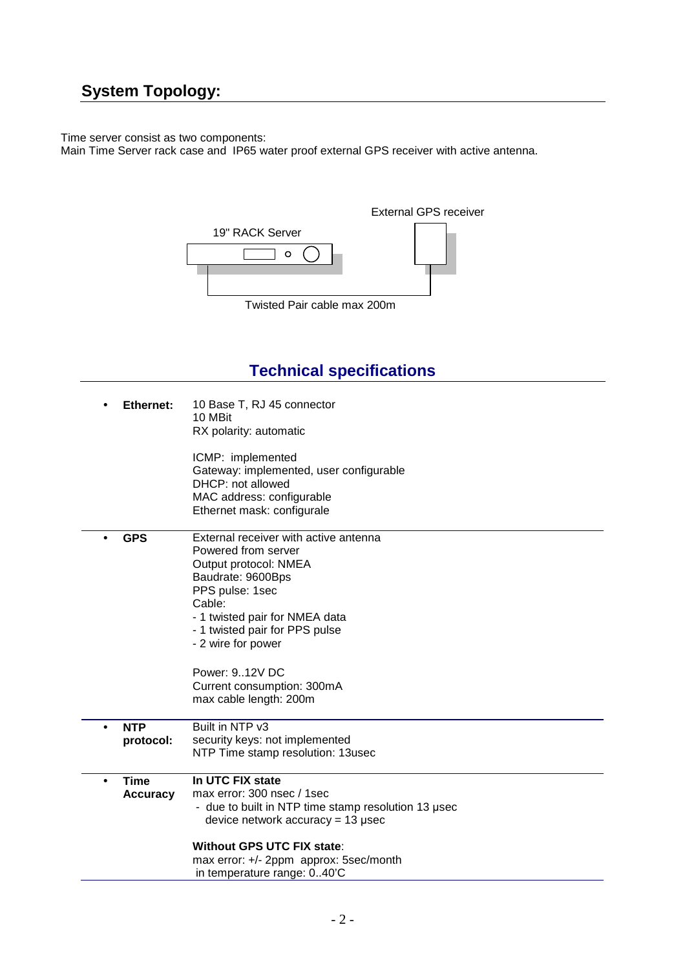# **System Topology:**

Time server consist as two components:

Main Time Server rack case and IP65 water proof external GPS receiver with active antenna.



# **Technical specifications**

|           | <b>Ethernet:</b>               | 10 Base T, RJ 45 connector<br>10 MBit<br>RX polarity: automatic                                                                                                                                                                                                                                             |
|-----------|--------------------------------|-------------------------------------------------------------------------------------------------------------------------------------------------------------------------------------------------------------------------------------------------------------------------------------------------------------|
|           |                                | ICMP: implemented<br>Gateway: implemented, user configurable<br>DHCP: not allowed<br>MAC address: configurable<br>Ethernet mask: configurale                                                                                                                                                                |
| $\bullet$ | <b>GPS</b>                     | External receiver with active antenna<br>Powered from server<br>Output protocol: NMEA<br>Baudrate: 9600Bps<br>PPS pulse: 1sec<br>Cable:<br>- 1 twisted pair for NMEA data<br>- 1 twisted pair for PPS pulse<br>- 2 wire for power<br>Power: 912V DC<br>Current consumption: 300mA<br>max cable length: 200m |
| $\bullet$ | <b>NTP</b><br>protocol:        | Built in NTP v3<br>security keys: not implemented                                                                                                                                                                                                                                                           |
|           |                                | NTP Time stamp resolution: 13usec                                                                                                                                                                                                                                                                           |
| $\bullet$ | <b>Time</b><br><b>Accuracy</b> | In UTC FIX state<br>max error: 300 nsec / 1sec<br>- due to built in NTP time stamp resolution 13 usec<br>device network $accuracy = 13$ µsec<br><b>Without GPS UTC FIX state:</b><br>max error: +/- 2ppm approx: 5sec/month                                                                                 |
|           |                                | in temperature range: 040'C                                                                                                                                                                                                                                                                                 |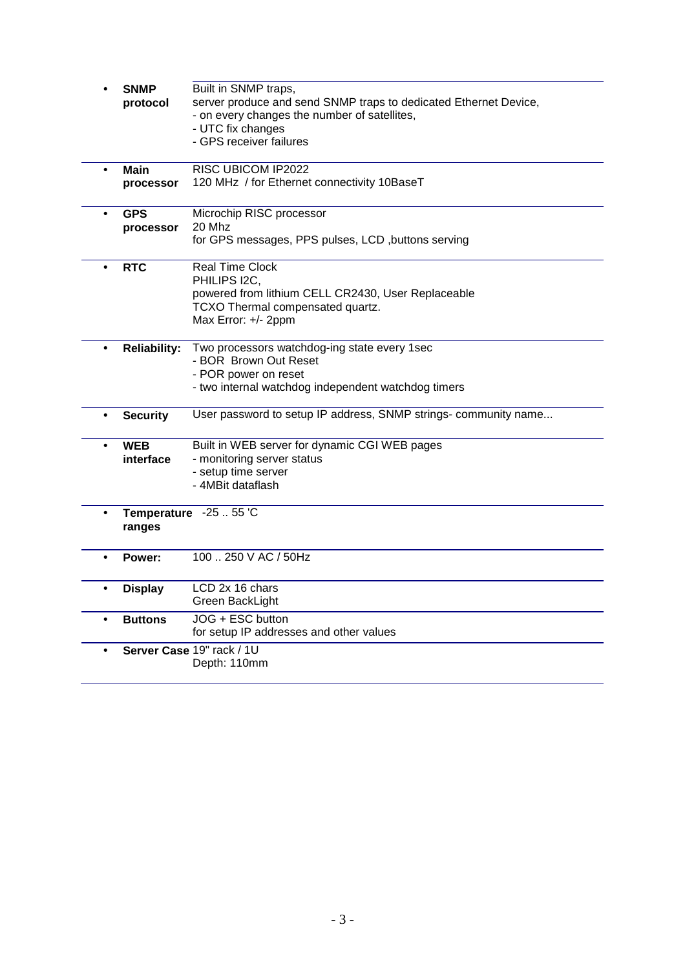|           | <b>SNMP</b>         | Built in SNMP traps,                                             |
|-----------|---------------------|------------------------------------------------------------------|
|           | protocol            | server produce and send SNMP traps to dedicated Ethernet Device, |
|           |                     | - on every changes the number of satellites,                     |
|           |                     | - UTC fix changes                                                |
|           |                     | - GPS receiver failures                                          |
|           |                     |                                                                  |
| $\bullet$ | Main                | RISC UBICOM IP2022                                               |
|           | processor           | 120 MHz / for Ethernet connectivity 10BaseT                      |
|           |                     |                                                                  |
| $\bullet$ | <b>GPS</b>          | Microchip RISC processor                                         |
|           | processor           | 20 Mhz                                                           |
|           |                     | for GPS messages, PPS pulses, LCD , buttons serving              |
|           |                     |                                                                  |
|           | <b>RTC</b>          | <b>Real Time Clock</b>                                           |
|           |                     | PHILIPS 12C.                                                     |
|           |                     | powered from lithium CELL CR2430, User Replaceable               |
|           |                     | TCXO Thermal compensated quartz.                                 |
|           |                     | Max Error: +/- 2ppm                                              |
|           |                     |                                                                  |
|           | <b>Reliability:</b> | Two processors watchdog-ing state every 1sec                     |
|           |                     | - BOR Brown Out Reset                                            |
|           |                     | - POR power on reset                                             |
|           |                     | - two internal watchdog independent watchdog timers              |
|           | <b>Security</b>     | User password to setup IP address, SNMP strings- community name  |
|           |                     |                                                                  |
| $\bullet$ | <b>WEB</b>          | Built in WEB server for dynamic CGI WEB pages                    |
|           | interface           | - monitoring server status                                       |
|           |                     | - setup time server                                              |
|           |                     | - 4MBit dataflash                                                |
|           |                     |                                                                  |
| $\bullet$ |                     | Temperature -25  55 'C                                           |
|           | ranges              |                                                                  |
|           |                     |                                                                  |
|           | Power:              | 100  250 V AC / 50Hz                                             |
|           |                     |                                                                  |
| $\bullet$ | <b>Display</b>      | LCD 2x 16 chars                                                  |
|           |                     | Green BackLight                                                  |
|           |                     |                                                                  |
|           | <b>Buttons</b>      | JOG + ESC button                                                 |
|           |                     | for setup IP addresses and other values                          |
|           |                     | Server Case 19" rack / 1U                                        |
|           |                     | Depth: 110mm                                                     |
|           |                     |                                                                  |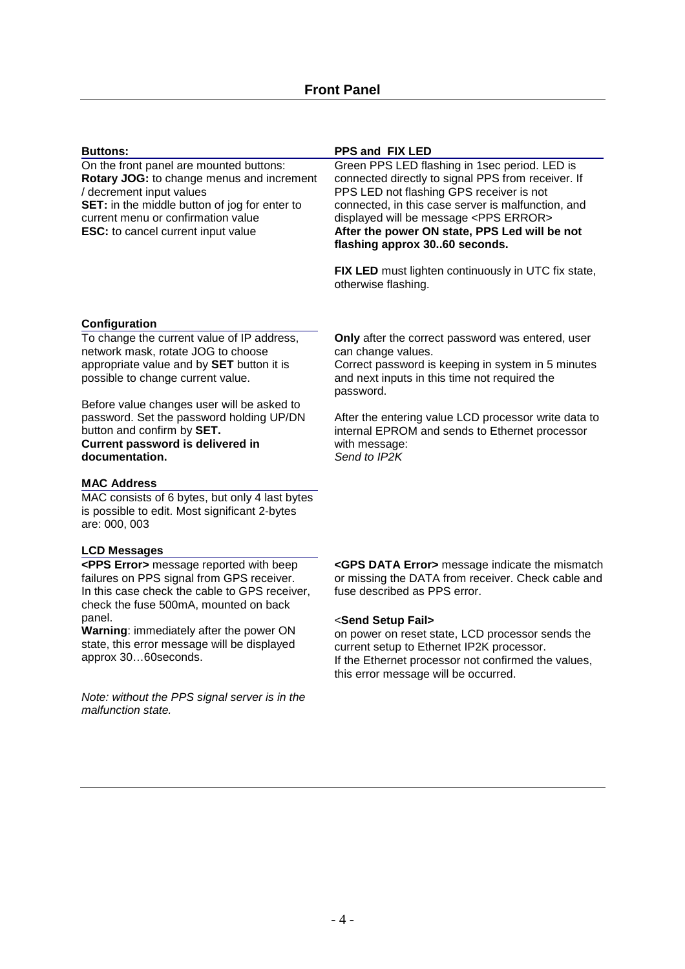| <b>Buttons:</b>                                                                                                                                                                                                                                             | <b>PPS and FIX LED</b>                                                                                                                                                                                                                                                                                                                      |  |
|-------------------------------------------------------------------------------------------------------------------------------------------------------------------------------------------------------------------------------------------------------------|---------------------------------------------------------------------------------------------------------------------------------------------------------------------------------------------------------------------------------------------------------------------------------------------------------------------------------------------|--|
| On the front panel are mounted buttons:<br>Rotary JOG: to change menus and increment<br>/ decrement input values<br><b>SET:</b> in the middle button of jog for enter to<br>current menu or confirmation value<br><b>ESC:</b> to cancel current input value | Green PPS LED flashing in 1sec period. LED is<br>connected directly to signal PPS from receiver. If<br>PPS LED not flashing GPS receiver is not<br>connected, in this case server is malfunction, and<br>displayed will be message <pps error=""><br/>After the power ON state, PPS Led will be not<br/>flashing approx 3060 seconds.</pps> |  |
|                                                                                                                                                                                                                                                             | FIX LED must lighten continuously in UTC fix state,<br>otherwise flashing.                                                                                                                                                                                                                                                                  |  |

## **Configuration**

To change the current value of IP address, network mask, rotate JOG to choose appropriate value and by **SET** button it is possible to change current value.

Before value changes user will be asked to password. Set the password holding UP/DN button and confirm by **SET. Current password is delivered in documentation.** 

## **MAC Address**

MAC consists of 6 bytes, but only 4 last bytes is possible to edit. Most significant 2-bytes are: 000, 003

#### **LCD Messages**

**<PPS Error>** message reported with beep failures on PPS signal from GPS receiver. In this case check the cable to GPS receiver, check the fuse 500mA, mounted on back panel.

**Warning**: immediately after the power ON state, this error message will be displayed approx 30…60seconds.

Note: without the PPS signal server is in the malfunction state.

**Only** after the correct password was entered, user can change values.

Correct password is keeping in system in 5 minutes and next inputs in this time not required the password.

After the entering value LCD processor write data to internal EPROM and sends to Ethernet processor with message: Send to IP<sub>2</sub>K

**<GPS DATA Error>** message indicate the mismatch or missing the DATA from receiver. Check cable and fuse described as PPS error.

#### <**Send Setup Fail>**

on power on reset state, LCD processor sends the current setup to Ethernet IP2K processor. If the Ethernet processor not confirmed the values, this error message will be occurred.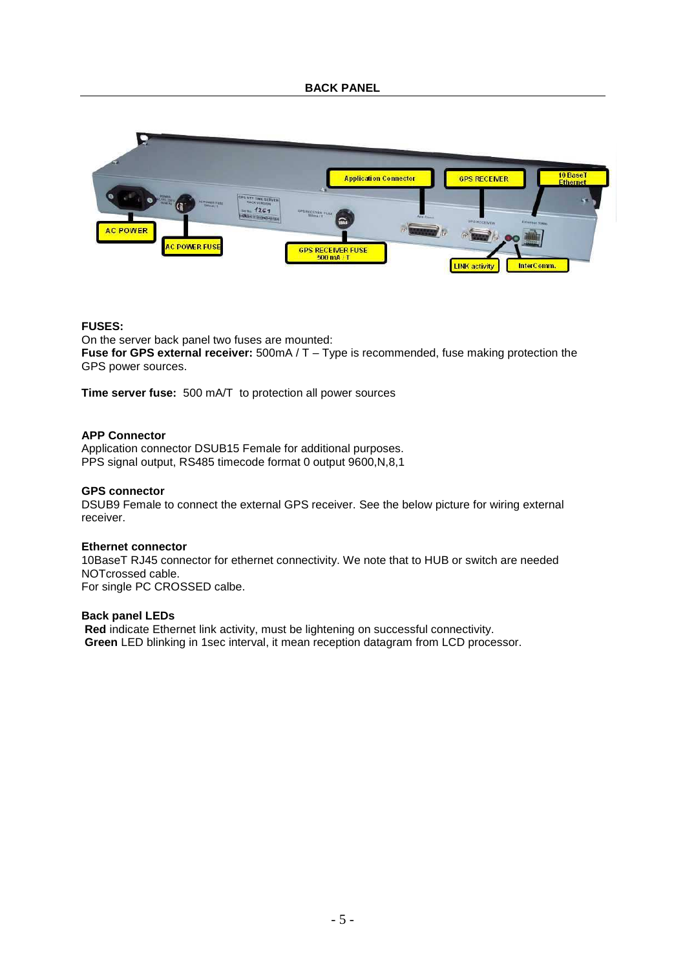

#### **FUSES:**

On the server back panel two fuses are mounted: **Fuse for GPS external receiver:** 500mA / T – Type is recommended, fuse making protection the GPS power sources.

**Time server fuse:** 500 mA/T to protection all power sources

## **APP Connector**

Application connector DSUB15 Female for additional purposes. PPS signal output, RS485 timecode format 0 output 9600,N,8,1

#### **GPS connector**

DSUB9 Female to connect the external GPS receiver. See the below picture for wiring external receiver.

#### **Ethernet connector**

10BaseT RJ45 connector for ethernet connectivity. We note that to HUB or switch are needed NOTcrossed cable. For single PC CROSSED calbe.

#### **Back panel LEDs**

 **Red** indicate Ethernet link activity, must be lightening on successful connectivity.  **Green** LED blinking in 1sec interval, it mean reception datagram from LCD processor.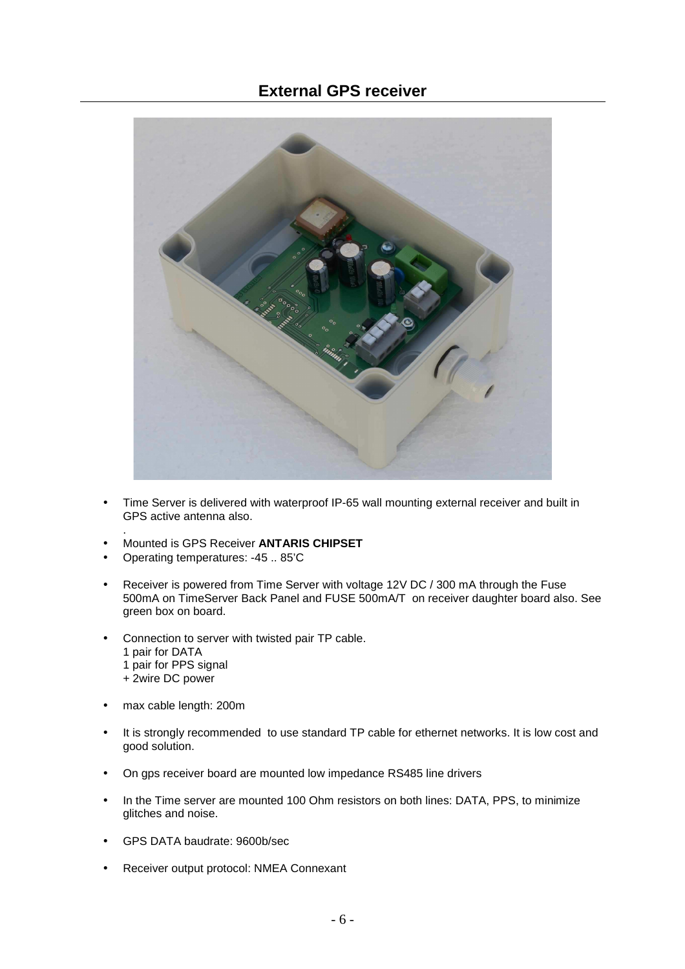## **External GPS receiver**



- Time Server is delivered with waterproof IP-65 wall mounting external receiver and built in GPS active antenna also.
- Mounted is GPS Receiver **ANTARIS CHIPSET**
- Operating temperatures: -45 .. 85'C
- Receiver is powered from Time Server with voltage 12V DC / 300 mA through the Fuse 500mA on TimeServer Back Panel and FUSE 500mA/T on receiver daughter board also. See green box on board.
- Connection to server with twisted pair TP cable. 1 pair for DATA 1 pair for PPS signal
	- + 2wire DC power

.

- max cable length: 200m
- It is strongly recommended to use standard TP cable for ethernet networks. It is low cost and good solution.
- On gps receiver board are mounted low impedance RS485 line drivers
- In the Time server are mounted 100 Ohm resistors on both lines: DATA, PPS, to minimize glitches and noise.
- GPS DATA baudrate: 9600b/sec
- Receiver output protocol: NMEA Connexant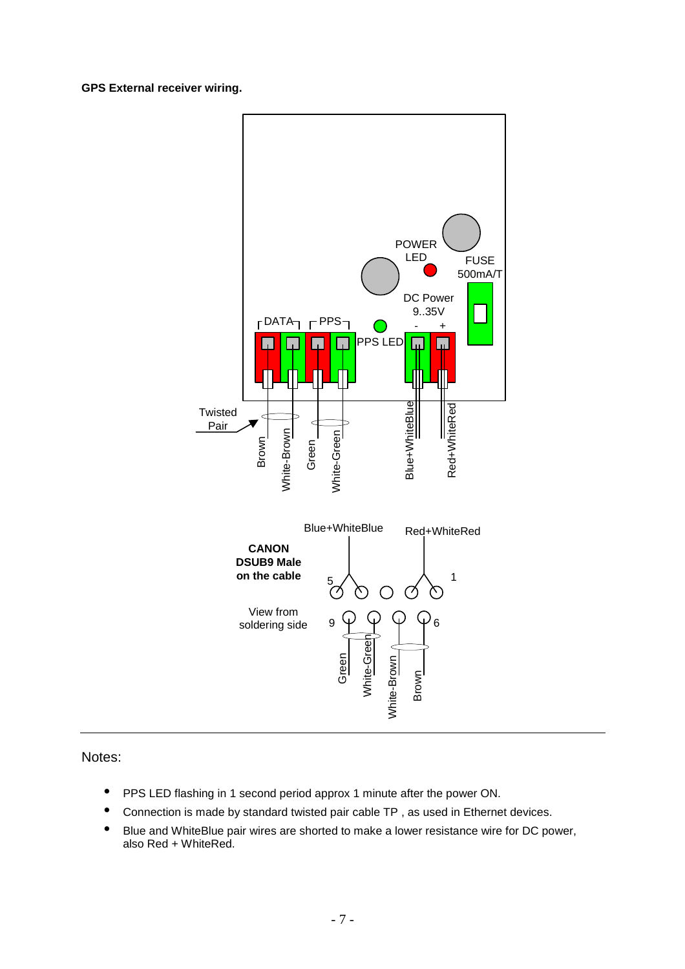## **GPS External receiver wiring.**



Notes:

- PPS LED flashing in 1 second period approx 1 minute after the power ON.
- Connection is made by standard twisted pair cable TP , as used in Ethernet devices.
- Blue and WhiteBlue pair wires are shorted to make a lower resistance wire for DC power, also Red + WhiteRed.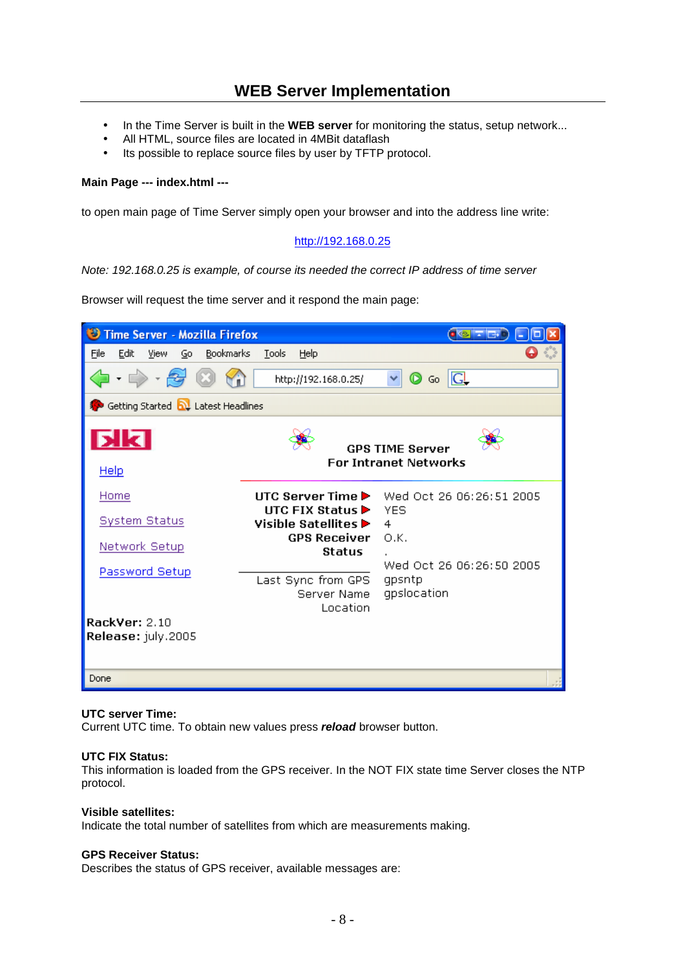# **WEB Server Implementation**

- In the Time Server is built in the **WEB server** for monitoring the status, setup network...
- All HTML, source files are located in 4MBit dataflash
- Its possible to replace source files by user by TFTP protocol.

## **Main Page --- index.html ---**

to open main page of Time Server simply open your browser and into the address line write:

## http://192.168.0.25

Note: 192.168.0.25 is example, of course its needed the correct IP address of time server

Browser will request the time server and it respond the main page:



#### **UTC server Time:**

Current UTC time. To obtain new values press **reload** browser button.

#### **UTC FIX Status:**

This information is loaded from the GPS receiver. In the NOT FIX state time Server closes the NTP protocol.

## **Visible satellites:**

Indicate the total number of satellites from which are measurements making.

#### **GPS Receiver Status:**

Describes the status of GPS receiver, available messages are: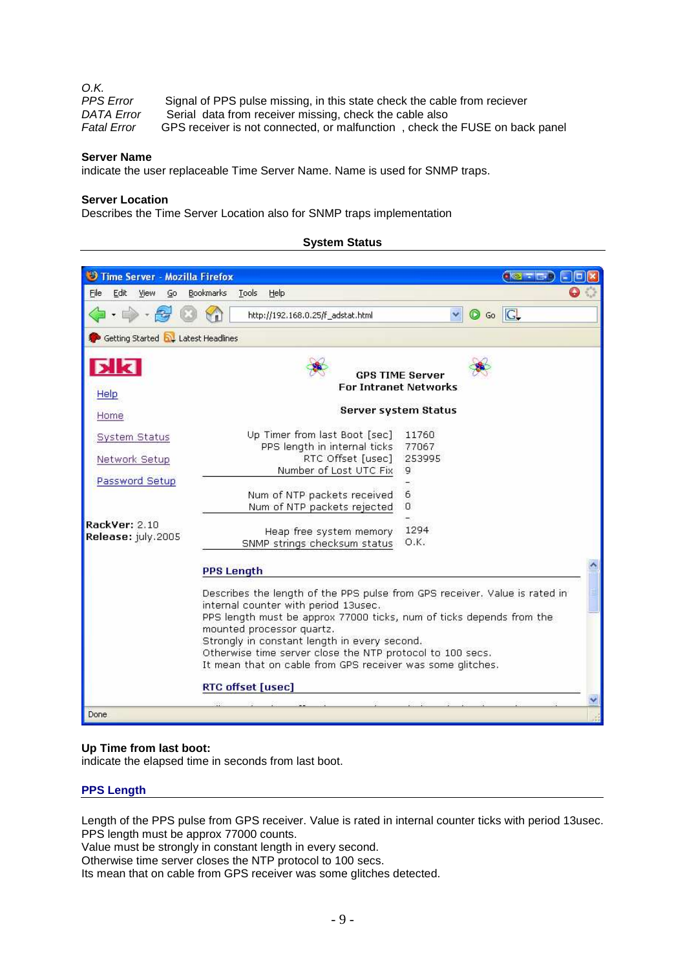| O.K.               |                                                                             |
|--------------------|-----------------------------------------------------------------------------|
| <b>PPS</b> Error   | Signal of PPS pulse missing, in this state check the cable from reciever    |
| <b>DATA Error</b>  | Serial data from receiver missing, check the cable also                     |
| <b>Fatal Error</b> | GPS receiver is not connected, or malfunction, check the FUSE on back panel |

## **Server Name**

indicate the user replaceable Time Server Name. Name is used for SNMP traps.

## **Server Location**

Describes the Time Server Location also for SNMP traps implementation

#### **System Status**

| Time Server - Mozilla Firefox              |                                                                                                                                                                                                                                                                                                                                                                                                                         | 0 < 7 < 0              |
|--------------------------------------------|-------------------------------------------------------------------------------------------------------------------------------------------------------------------------------------------------------------------------------------------------------------------------------------------------------------------------------------------------------------------------------------------------------------------------|------------------------|
| Edit<br>File<br>View<br>Go                 | <b>Bookmarks</b><br>Help<br>Tools                                                                                                                                                                                                                                                                                                                                                                                       |                        |
|                                            | http://192.168.0.25/f adstat.html                                                                                                                                                                                                                                                                                                                                                                                       | <b>O</b> Go G          |
| Getting Started <b>by</b> Latest Headlines |                                                                                                                                                                                                                                                                                                                                                                                                                         |                        |
|                                            |                                                                                                                                                                                                                                                                                                                                                                                                                         |                        |
|                                            | <b>For Intranet Networks</b>                                                                                                                                                                                                                                                                                                                                                                                            | <b>GPS TIME Server</b> |
| Help                                       |                                                                                                                                                                                                                                                                                                                                                                                                                         |                        |
|                                            | Server system Status                                                                                                                                                                                                                                                                                                                                                                                                    |                        |
| Home                                       |                                                                                                                                                                                                                                                                                                                                                                                                                         |                        |
| <b>System Status</b>                       | Up Timer from last Boot [sec]                                                                                                                                                                                                                                                                                                                                                                                           | 11760                  |
|                                            | PPS length in internal ticks                                                                                                                                                                                                                                                                                                                                                                                            | 77067                  |
| Network Setup                              | RTC Offset [usec]                                                                                                                                                                                                                                                                                                                                                                                                       | 253995                 |
| Password Setup                             | Number of Lost UTC Fix                                                                                                                                                                                                                                                                                                                                                                                                  | G.                     |
|                                            | Num of NTP packets received                                                                                                                                                                                                                                                                                                                                                                                             | 6                      |
|                                            | Num of NTP packets rejected                                                                                                                                                                                                                                                                                                                                                                                             | $\Omega$               |
| RackVer: 2.10                              |                                                                                                                                                                                                                                                                                                                                                                                                                         |                        |
| Release: july.2005                         | Heap free system memory                                                                                                                                                                                                                                                                                                                                                                                                 | 1294                   |
|                                            | SNMP strings checksum status                                                                                                                                                                                                                                                                                                                                                                                            | O.K.                   |
|                                            | <b>PPS Length</b>                                                                                                                                                                                                                                                                                                                                                                                                       |                        |
|                                            | Describes the length of the PPS pulse from GPS receiver. Value is rated in<br>internal counter with period 13usec.<br>PPS length must be approx 77000 ticks, num of ticks depends from the<br>mounted processor quartz.<br>Strongly in constant length in every second.<br>Otherwise time server close the NTP protocol to 100 secs.<br>It mean that on cable from GPS receiver was some glitches.<br>RTC offset [usec] |                        |

## **Up Time from last boot:**

indicate the elapsed time in seconds from last boot.

#### **PPS Length**

Length of the PPS pulse from GPS receiver. Value is rated in internal counter ticks with period 13usec. PPS length must be approx 77000 counts.

Value must be strongly in constant length in every second.

Otherwise time server closes the NTP protocol to 100 secs.

Its mean that on cable from GPS receiver was some glitches detected.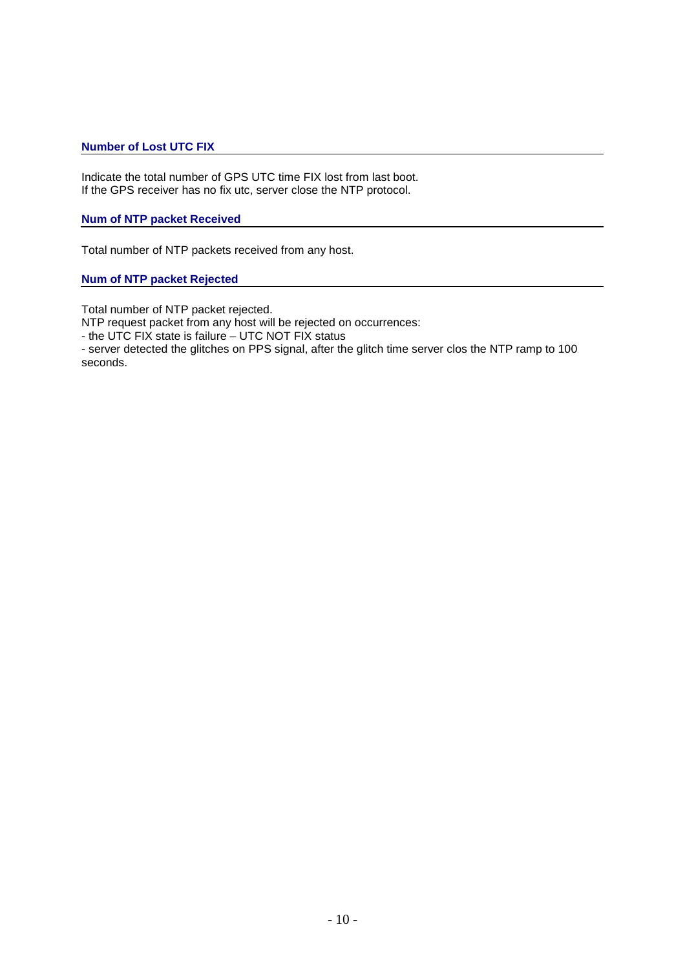## **Number of Lost UTC FIX**

Indicate the total number of GPS UTC time FIX lost from last boot. If the GPS receiver has no fix utc, server close the NTP protocol.

## **Num of NTP packet Received**

Total number of NTP packets received from any host.

## **Num of NTP packet Rejected**

Total number of NTP packet rejected.

NTP request packet from any host will be rejected on occurrences:

- the UTC FIX state is failure – UTC NOT FIX status

- server detected the glitches on PPS signal, after the glitch time server clos the NTP ramp to 100 seconds.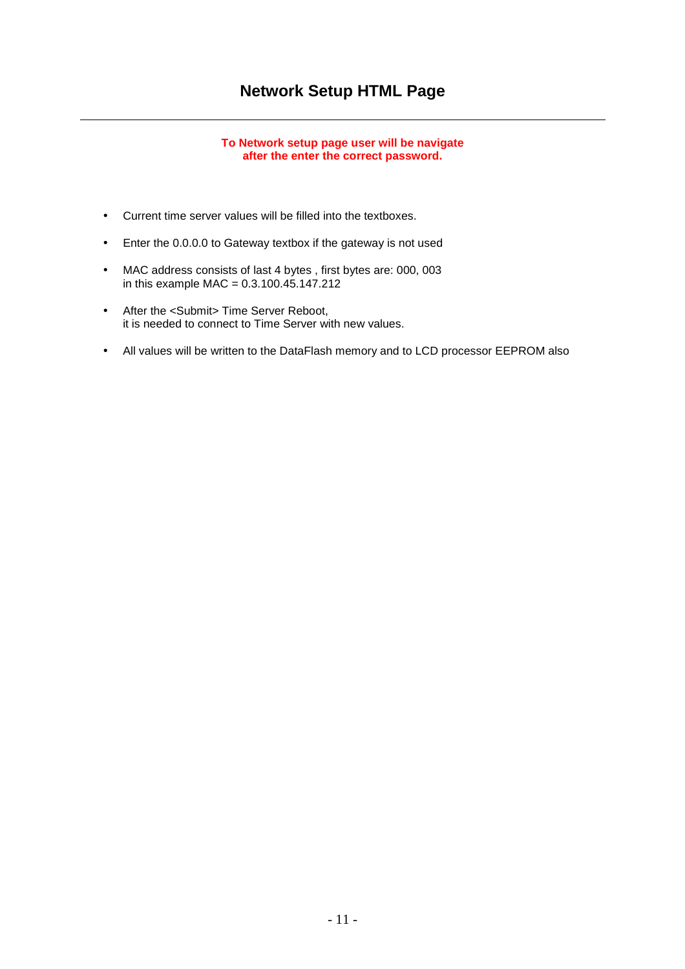## **Network Setup HTML Page**

## **To Network setup page user will be navigate after the enter the correct password.**

- Current time server values will be filled into the textboxes.
- Enter the 0.0.0.0 to Gateway textbox if the gateway is not used
- MAC address consists of last 4 bytes , first bytes are: 000, 003 in this example MAC =  $0.3.100.45.147.212$
- After the <Submit> Time Server Reboot, it is needed to connect to Time Server with new values.
- All values will be written to the DataFlash memory and to LCD processor EEPROM also